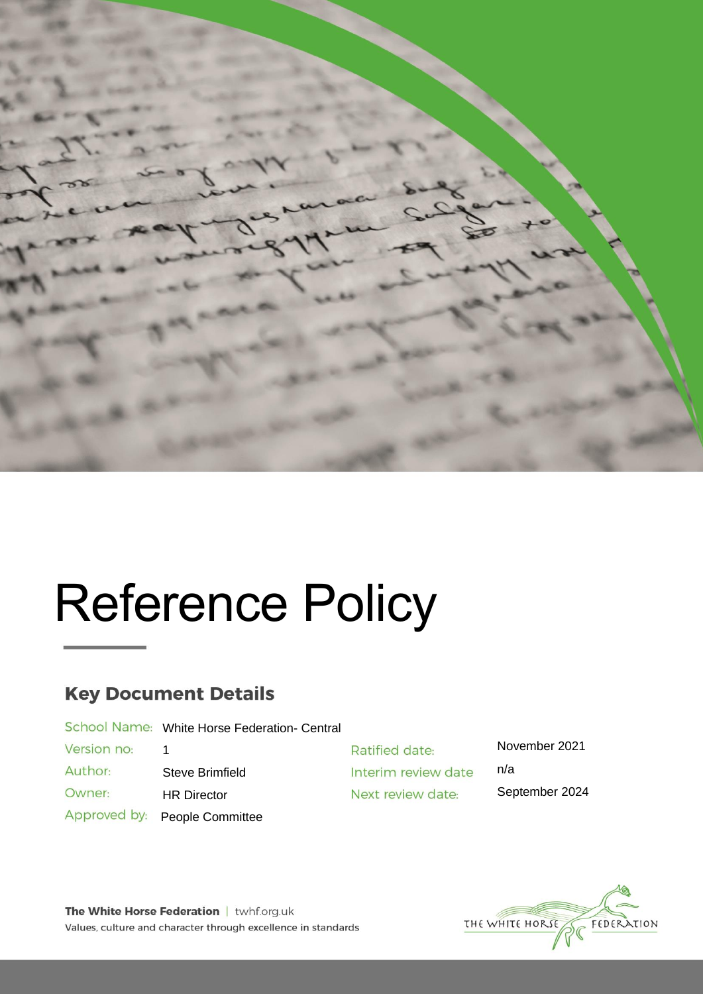

# Reference Policy

# **Key Document Details**

School Name: White Horse Federation- Central

Version no: 1 Author:

Owner:

Steve Brimfield

- HR Director
- Approved by: People Committee

Ratified date: Interim review date Next review date:

November 2021 n/a September 2024

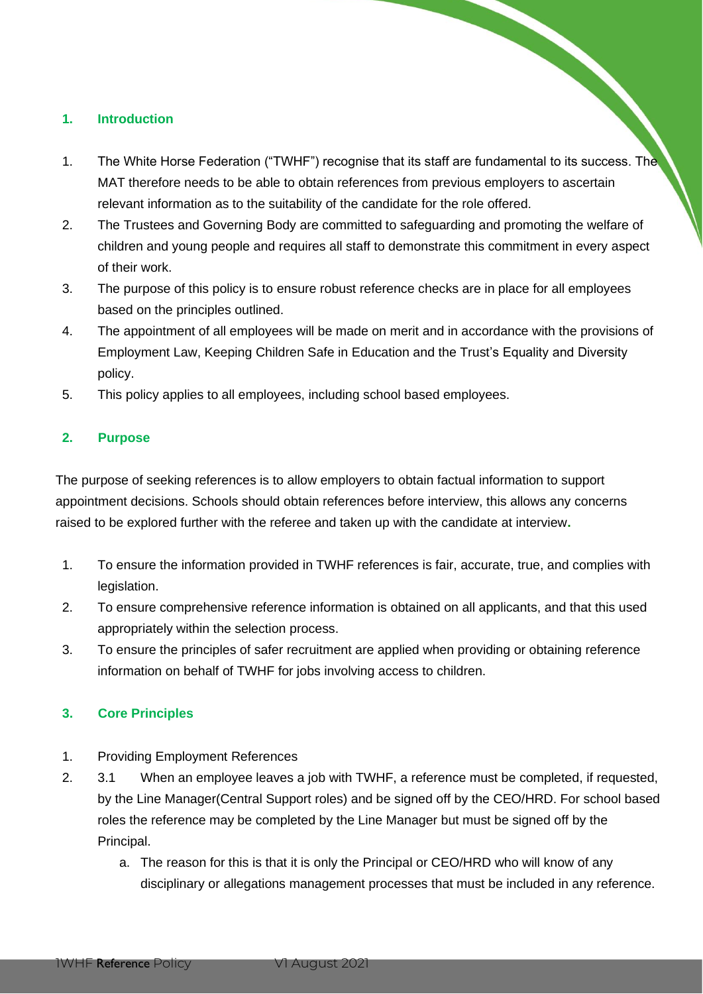# **1. Introduction**

- 1. The White Horse Federation ("TWHF") recognise that its staff are fundamental to its success. The MAT therefore needs to be able to obtain references from previous employers to ascertain relevant information as to the suitability of the candidate for the role offered.
- 2. The Trustees and Governing Body are committed to safeguarding and promoting the welfare of children and young people and requires all staff to demonstrate this commitment in every aspect of their work.
- 3. The purpose of this policy is to ensure robust reference checks are in place for all employees based on the principles outlined.
- 4. The appointment of all employees will be made on merit and in accordance with the provisions of Employment Law, Keeping Children Safe in Education and the Trust's Equality and Diversity policy.
- 5. This policy applies to all employees, including school based employees.

# **2. Purpose**

The purpose of seeking references is to allow employers to obtain factual information to support appointment decisions. Schools should obtain references before interview, this allows any concerns raised to be explored further with the referee and taken up with the candidate at interview**.**

- 1. To ensure the information provided in TWHF references is fair, accurate, true, and complies with legislation.
- 2. To ensure comprehensive reference information is obtained on all applicants, and that this used appropriately within the selection process.
- 3. To ensure the principles of safer recruitment are applied when providing or obtaining reference information on behalf of TWHF for jobs involving access to children.

# **3. Core Principles**

- 1. Providing Employment References
- 2. 3.1 When an employee leaves a job with TWHF, a reference must be completed, if requested, by the Line Manager(Central Support roles) and be signed off by the CEO/HRD. For school based roles the reference may be completed by the Line Manager but must be signed off by the Principal.
	- a. The reason for this is that it is only the Principal or CEO/HRD who will know of any disciplinary or allegations management processes that must be included in any reference.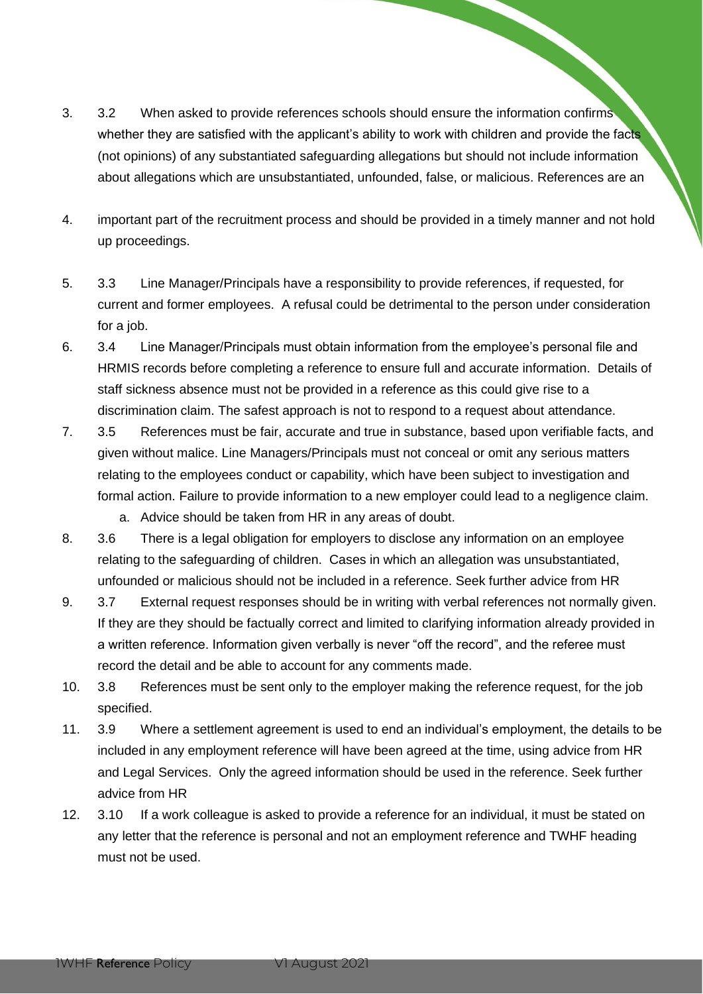- 3. 3.2 When asked to provide references schools should ensure the information confirms whether they are satisfied with the applicant's ability to work with children and provide the facts (not opinions) of any substantiated safeguarding allegations but should not include information about allegations which are unsubstantiated, unfounded, false, or malicious. References are an
- 4. important part of the recruitment process and should be provided in a timely manner and not hold up proceedings.
- 5. 3.3 Line Manager/Principals have a responsibility to provide references, if requested, for current and former employees. A refusal could be detrimental to the person under consideration for a job.
- 6. 3.4 Line Manager/Principals must obtain information from the employee's personal file and HRMIS records before completing a reference to ensure full and accurate information. Details of staff sickness absence must not be provided in a reference as this could give rise to a discrimination claim. The safest approach is not to respond to a request about attendance.
- 7. 3.5 References must be fair, accurate and true in substance, based upon verifiable facts, and given without malice. Line Managers/Principals must not conceal or omit any serious matters relating to the employees conduct or capability, which have been subject to investigation and formal action. Failure to provide information to a new employer could lead to a negligence claim.
	- a. Advice should be taken from HR in any areas of doubt.
- 8. 3.6 There is a legal obligation for employers to disclose any information on an employee relating to the safeguarding of children. Cases in which an allegation was unsubstantiated, unfounded or malicious should not be included in a reference. Seek further advice from HR
- 9. 3.7 External request responses should be in writing with verbal references not normally given. If they are they should be factually correct and limited to clarifying information already provided in a written reference. Information given verbally is never "off the record", and the referee must record the detail and be able to account for any comments made.
- 10. 3.8 References must be sent only to the employer making the reference request, for the job specified.
- 11. 3.9 Where a settlement agreement is used to end an individual's employment, the details to be included in any employment reference will have been agreed at the time, using advice from HR and Legal Services. Only the agreed information should be used in the reference. Seek further advice from HR
- 12. 3.10 If a work colleague is asked to provide a reference for an individual, it must be stated on any letter that the reference is personal and not an employment reference and TWHF heading must not be used.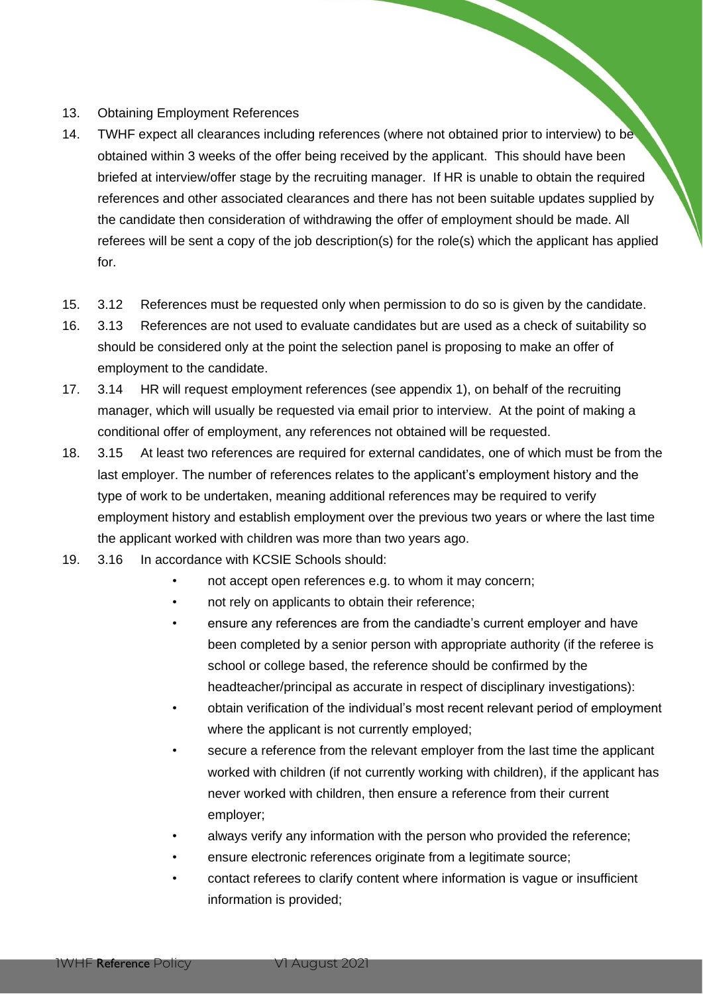#### 13. Obtaining Employment References

- 14. TWHF expect all clearances including references (where not obtained prior to interview) to be obtained within 3 weeks of the offer being received by the applicant. This should have been briefed at interview/offer stage by the recruiting manager. If HR is unable to obtain the required references and other associated clearances and there has not been suitable updates supplied by the candidate then consideration of withdrawing the offer of employment should be made. All referees will be sent a copy of the job description(s) for the role(s) which the applicant has applied for.
- 15. 3.12 References must be requested only when permission to do so is given by the candidate.
- 16. 3.13 References are not used to evaluate candidates but are used as a check of suitability so should be considered only at the point the selection panel is proposing to make an offer of employment to the candidate.
- 17. 3.14 HR will request employment references (see appendix 1), on behalf of the recruiting manager, which will usually be requested via email prior to interview. At the point of making a conditional offer of employment, any references not obtained will be requested.
- 18. 3.15 At least two references are required for external candidates, one of which must be from the last employer. The number of references relates to the applicant's employment history and the type of work to be undertaken, meaning additional references may be required to verify employment history and establish employment over the previous two years or where the last time the applicant worked with children was more than two years ago.
- 19. 3.16 In accordance with KCSIE Schools should:
	- not accept open references e.g. to whom it may concern;
	- not rely on applicants to obtain their reference;
	- ensure any references are from the candiadte's current employer and have been completed by a senior person with appropriate authority (if the referee is school or college based, the reference should be confirmed by the headteacher/principal as accurate in respect of disciplinary investigations):
	- obtain verification of the individual's most recent relevant period of employment where the applicant is not currently employed;
	- secure a reference from the relevant employer from the last time the applicant worked with children (if not currently working with children), if the applicant has never worked with children, then ensure a reference from their current employer;
	- always verify any information with the person who provided the reference;
	- ensure electronic references originate from a legitimate source;
	- contact referees to clarify content where information is vague or insufficient information is provided;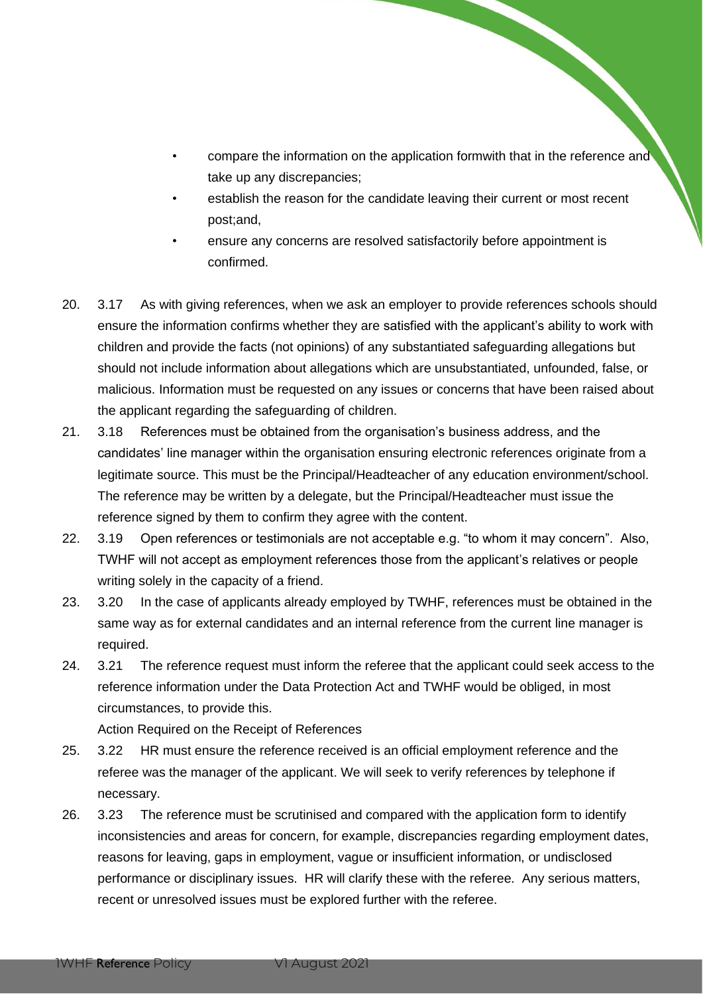- compare the information on the application formwith that in the reference and take up any discrepancies;
- establish the reason for the candidate leaving their current or most recent post;and,
- ensure any concerns are resolved satisfactorily before appointment is confirmed.
- 20. 3.17 As with giving references, when we ask an employer to provide references schools should ensure the information confirms whether they are satisfied with the applicant's ability to work with children and provide the facts (not opinions) of any substantiated safeguarding allegations but should not include information about allegations which are unsubstantiated, unfounded, false, or malicious. Information must be requested on any issues or concerns that have been raised about the applicant regarding the safeguarding of children.
- 21. 3.18 References must be obtained from the organisation's business address, and the candidates' line manager within the organisation ensuring electronic references originate from a legitimate source. This must be the Principal/Headteacher of any education environment/school. The reference may be written by a delegate, but the Principal/Headteacher must issue the reference signed by them to confirm they agree with the content.
- 22. 3.19 Open references or testimonials are not acceptable e.g. "to whom it may concern". Also, TWHF will not accept as employment references those from the applicant's relatives or people writing solely in the capacity of a friend.
- 23. 3.20 In the case of applicants already employed by TWHF, references must be obtained in the same way as for external candidates and an internal reference from the current line manager is required.
- 24. 3.21 The reference request must inform the referee that the applicant could seek access to the reference information under the Data Protection Act and TWHF would be obliged, in most circumstances, to provide this.

Action Required on the Receipt of References

- 25. 3.22 HR must ensure the reference received is an official employment reference and the referee was the manager of the applicant. We will seek to verify references by telephone if necessary.
- 26. 3.23 The reference must be scrutinised and compared with the application form to identify inconsistencies and areas for concern, for example, discrepancies regarding employment dates, reasons for leaving, gaps in employment, vague or insufficient information, or undisclosed performance or disciplinary issues. HR will clarify these with the referee. Any serious matters, recent or unresolved issues must be explored further with the referee.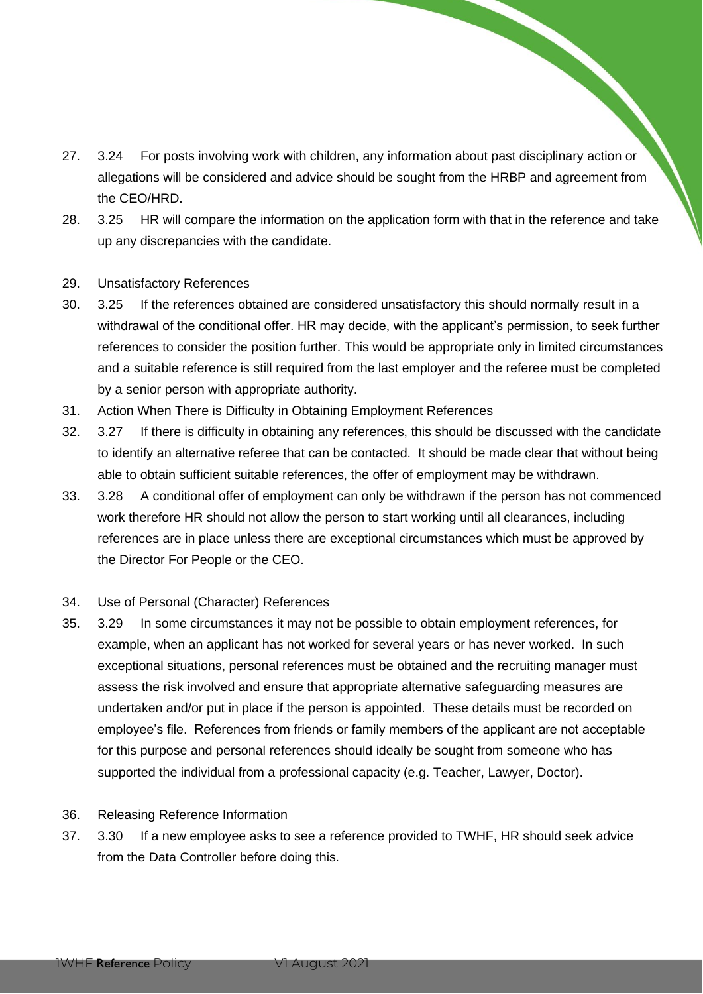- 27. 3.24 For posts involving work with children, any information about past disciplinary action or allegations will be considered and advice should be sought from the HRBP and agreement from the CEO/HRD.
- 28. 3.25 HR will compare the information on the application form with that in the reference and take up any discrepancies with the candidate.
- 29. Unsatisfactory References
- 30. 3.25 If the references obtained are considered unsatisfactory this should normally result in a withdrawal of the conditional offer. HR may decide, with the applicant's permission, to seek further references to consider the position further. This would be appropriate only in limited circumstances and a suitable reference is still required from the last employer and the referee must be completed by a senior person with appropriate authority.
- 31. Action When There is Difficulty in Obtaining Employment References
- 32. 3.27 If there is difficulty in obtaining any references, this should be discussed with the candidate to identify an alternative referee that can be contacted. It should be made clear that without being able to obtain sufficient suitable references, the offer of employment may be withdrawn.
- 33. 3.28 A conditional offer of employment can only be withdrawn if the person has not commenced work therefore HR should not allow the person to start working until all clearances, including references are in place unless there are exceptional circumstances which must be approved by the Director For People or the CEO.
- 34. Use of Personal (Character) References
- 35. 3.29 In some circumstances it may not be possible to obtain employment references, for example, when an applicant has not worked for several years or has never worked. In such exceptional situations, personal references must be obtained and the recruiting manager must assess the risk involved and ensure that appropriate alternative safeguarding measures are undertaken and/or put in place if the person is appointed. These details must be recorded on employee's file. References from friends or family members of the applicant are not acceptable for this purpose and personal references should ideally be sought from someone who has supported the individual from a professional capacity (e.g. Teacher, Lawyer, Doctor).
- 36. Releasing Reference Information
- 37. 3.30 If a new employee asks to see a reference provided to TWHF, HR should seek advice from the Data Controller before doing this.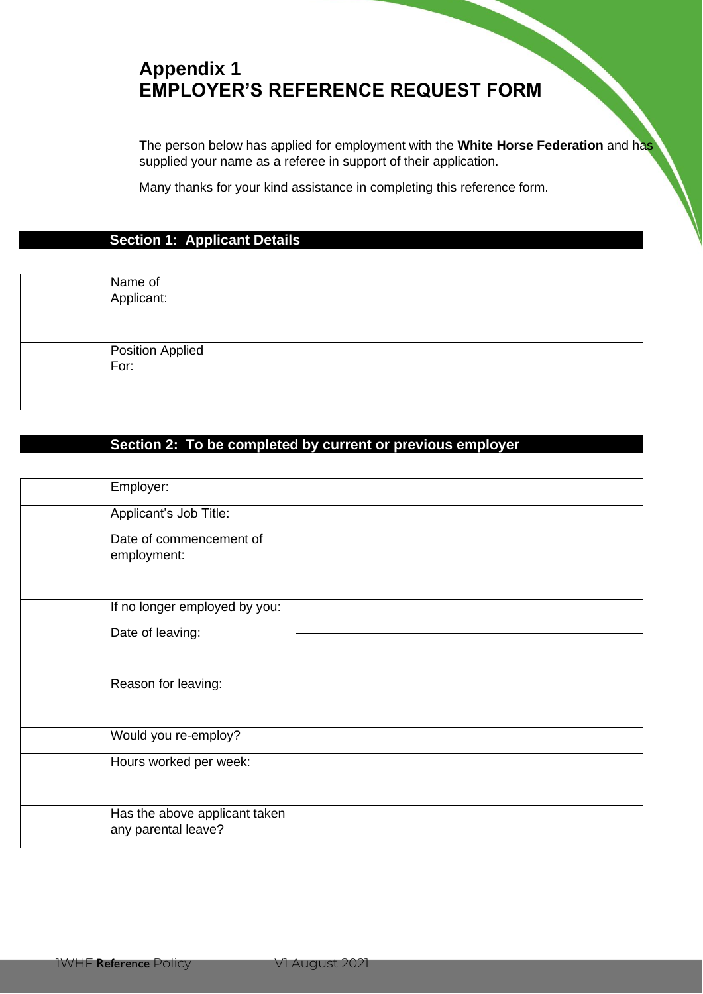# **Appendix 1 EMPLOYER'S REFERENCE REQUEST FORM**

The person below has applied for employment with the **White Horse Federation** and has supplied your name as a referee in support of their application.

Many thanks for your kind assistance in completing this reference form.

# **Section 1: Applicant Details**

| Name of<br>Applicant:    |  |
|--------------------------|--|
| Position Applied<br>For: |  |

# **Section 2: To be completed by current or previous employer**

| Employer:                                            |  |
|------------------------------------------------------|--|
| Applicant's Job Title:                               |  |
| Date of commencement of<br>employment:               |  |
| If no longer employed by you:                        |  |
| Date of leaving:                                     |  |
| Reason for leaving:                                  |  |
| Would you re-employ?                                 |  |
| Hours worked per week:                               |  |
| Has the above applicant taken<br>any parental leave? |  |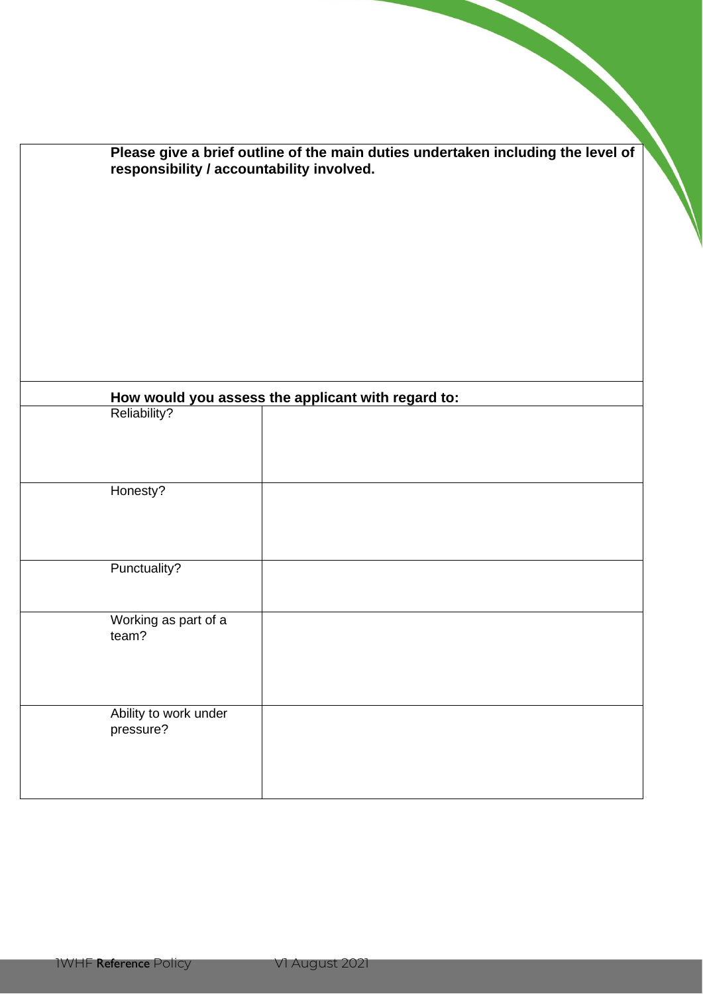| responsibility / accountability involved. | Please give a brief outline of the main duties undertaken including the level of |
|-------------------------------------------|----------------------------------------------------------------------------------|
|                                           |                                                                                  |
|                                           |                                                                                  |
|                                           |                                                                                  |
| Reliability?                              | How would you assess the applicant with regard to:                               |
|                                           |                                                                                  |
| Honesty?                                  |                                                                                  |
| Punctuality?                              |                                                                                  |
|                                           |                                                                                  |
| Working as part of a                      |                                                                                  |
| team?                                     |                                                                                  |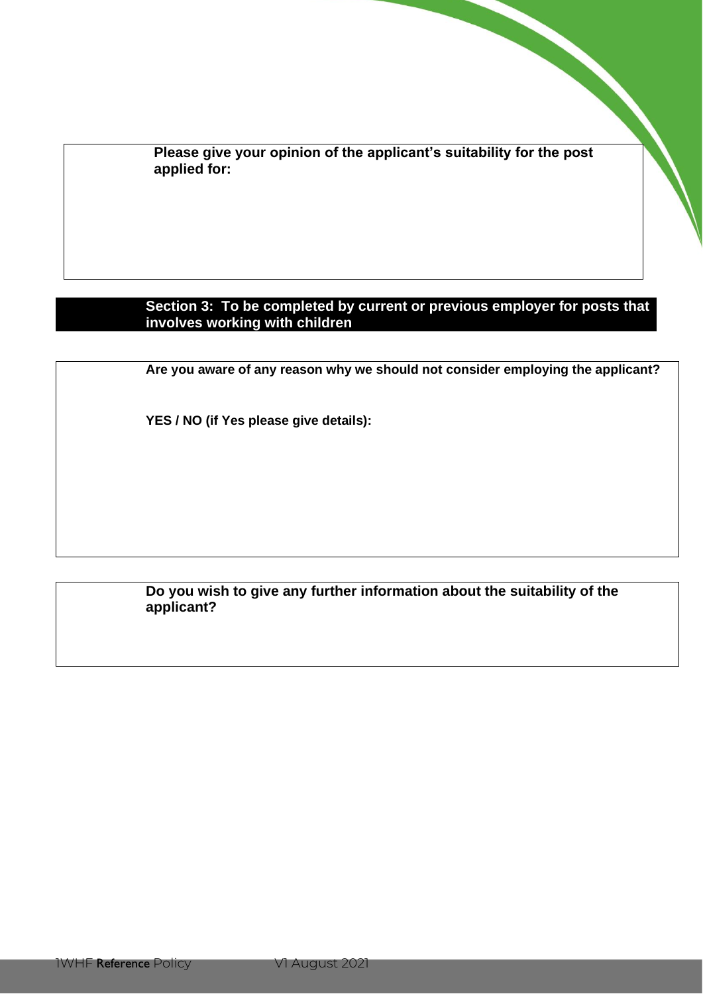**Please give your opinion of the applicant's suitability for the post applied for:**

# **Section 3: To be completed by current or previous employer for posts that involves working with children**

**Are you aware of any reason why we should not consider employing the applicant?**

**YES / NO (if Yes please give details):**

# **Do you wish to give any further information about the suitability of the applicant?**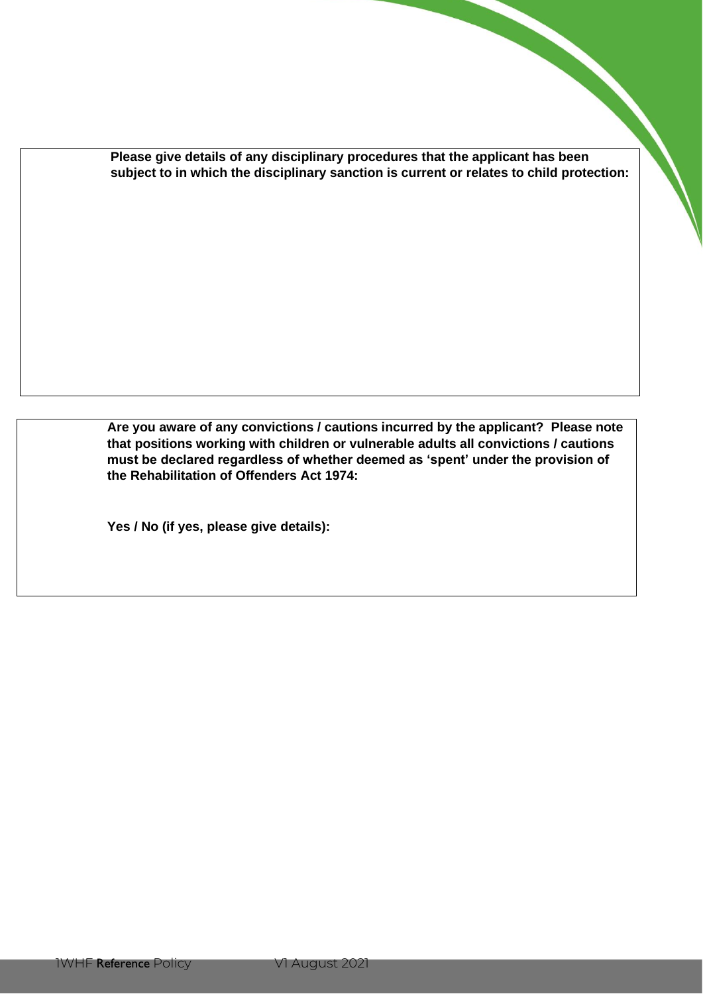**Please give details of any disciplinary procedures that the applicant has been subject to in which the disciplinary sanction is current or relates to child protection:**

**Are you aware of any convictions / cautions incurred by the applicant? Please note that positions working with children or vulnerable adults all convictions / cautions must be declared regardless of whether deemed as 'spent' under the provision of the Rehabilitation of Offenders Act 1974:**

**Yes / No (if yes, please give details):**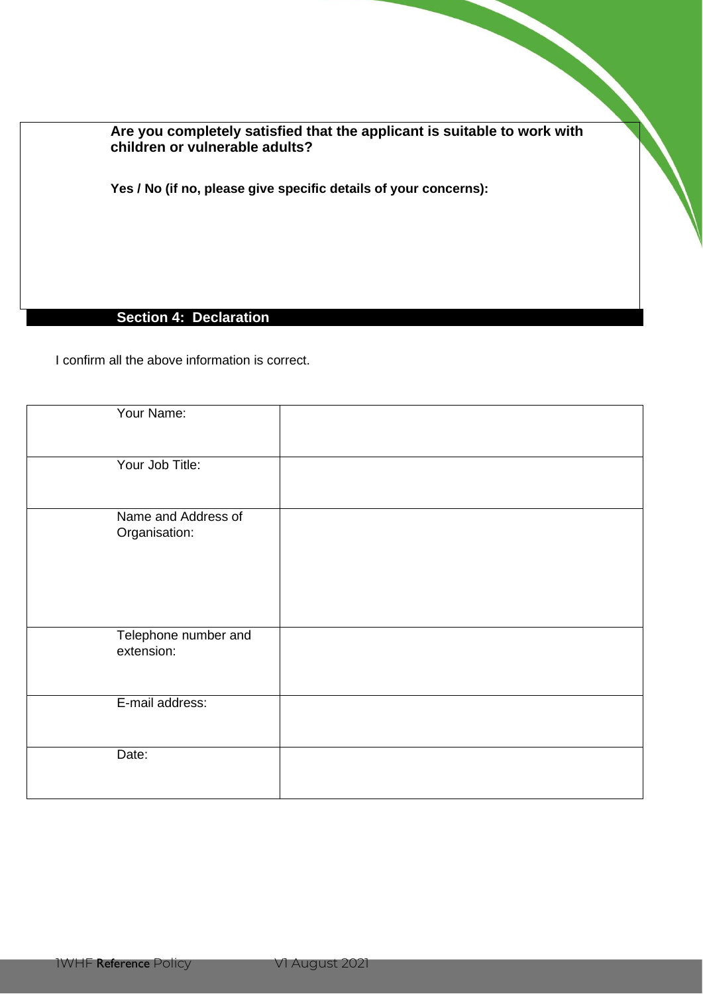**Are you completely satisfied that the applicant is suitable to work with children or vulnerable adults?**

**Yes / No (if no, please give specific details of your concerns):** 

# **Section 4: Declaration**

I confirm all the above information is correct.

| Your Name:                           |  |
|--------------------------------------|--|
| Your Job Title:                      |  |
| Name and Address of<br>Organisation: |  |
| Telephone number and<br>extension:   |  |
| E-mail address:                      |  |
| Date:                                |  |